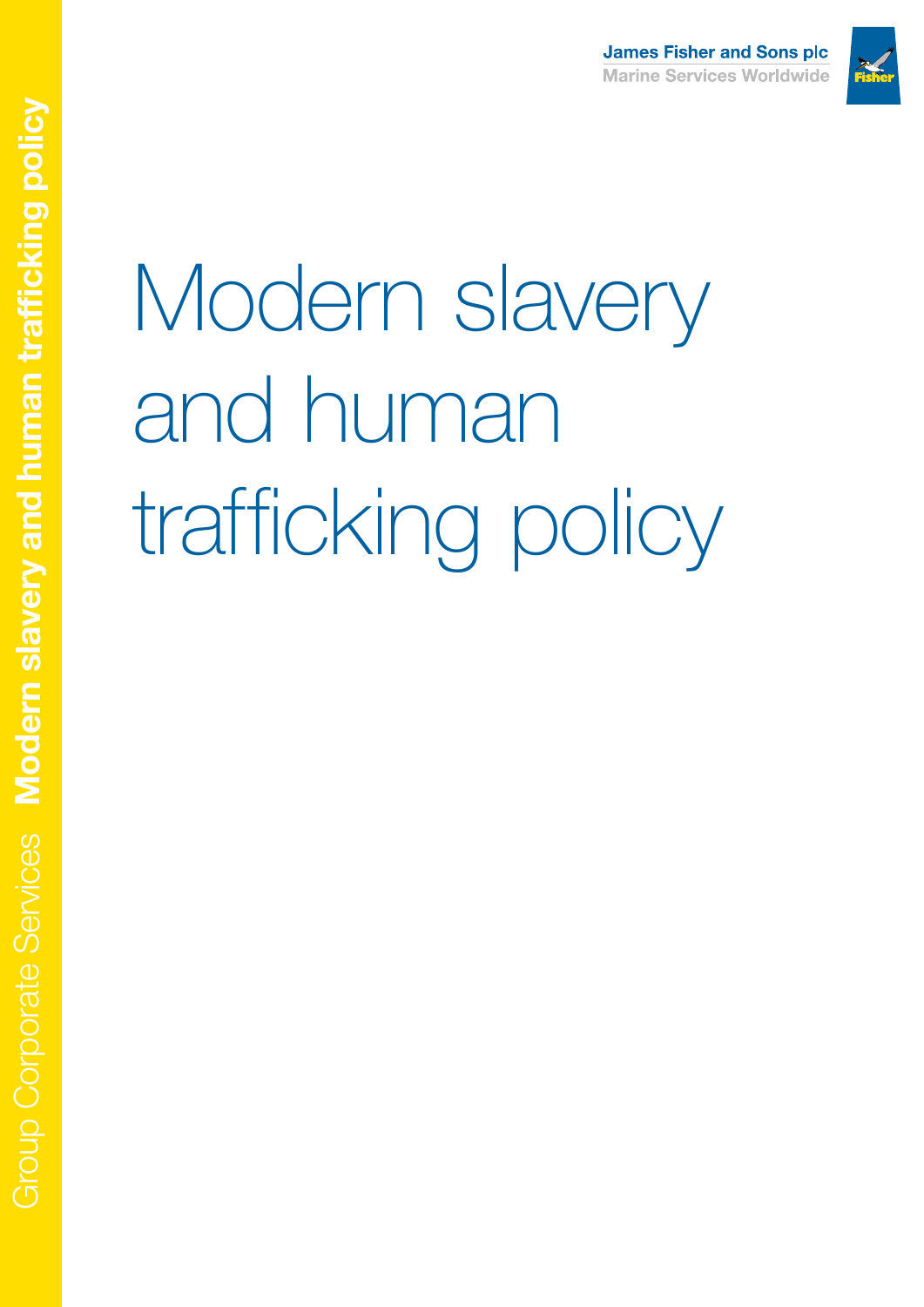

# Modern slavery and human trafficking policy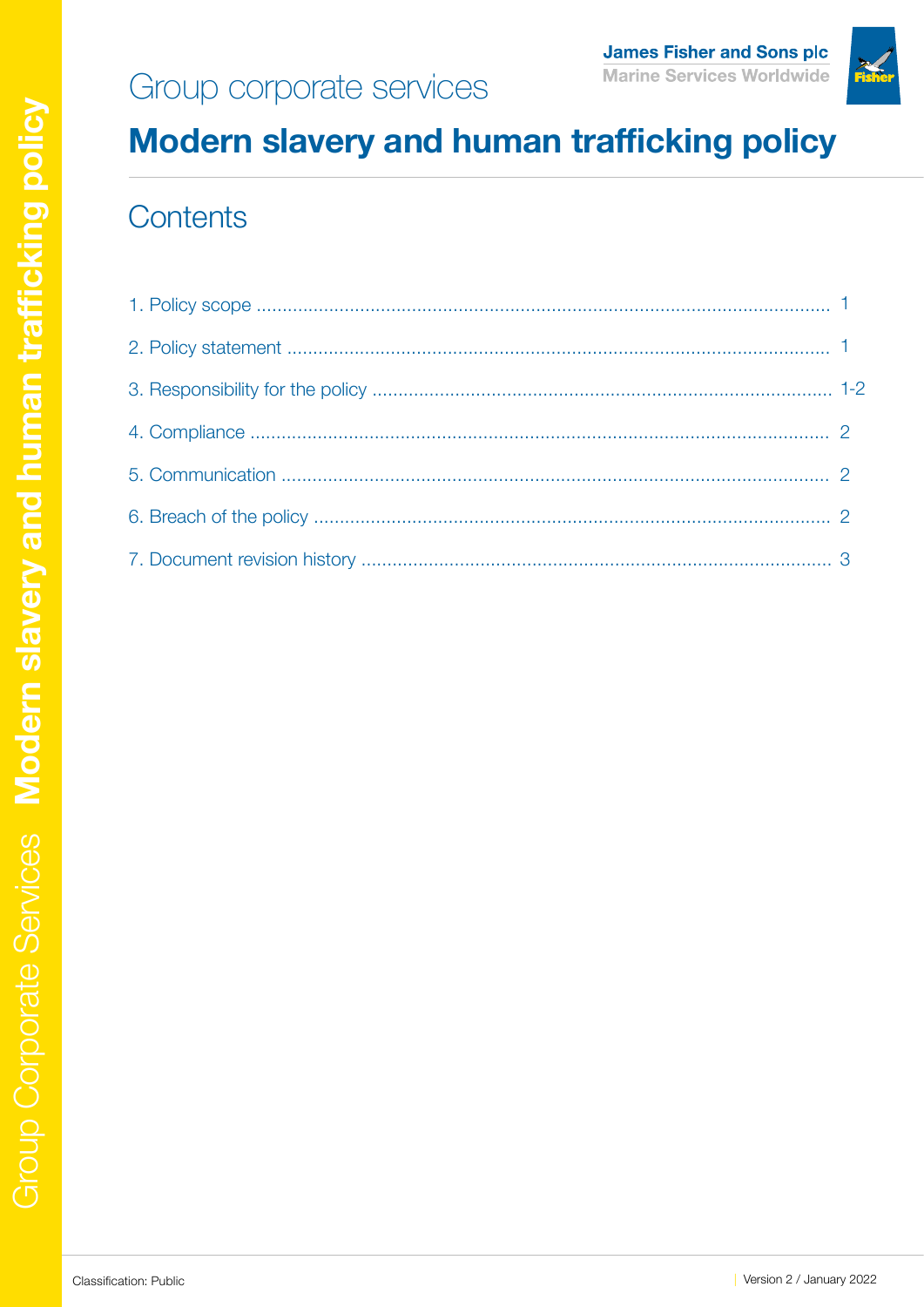# Group corporate services



## **Modern slavery and human trafficking policy**

#### Contents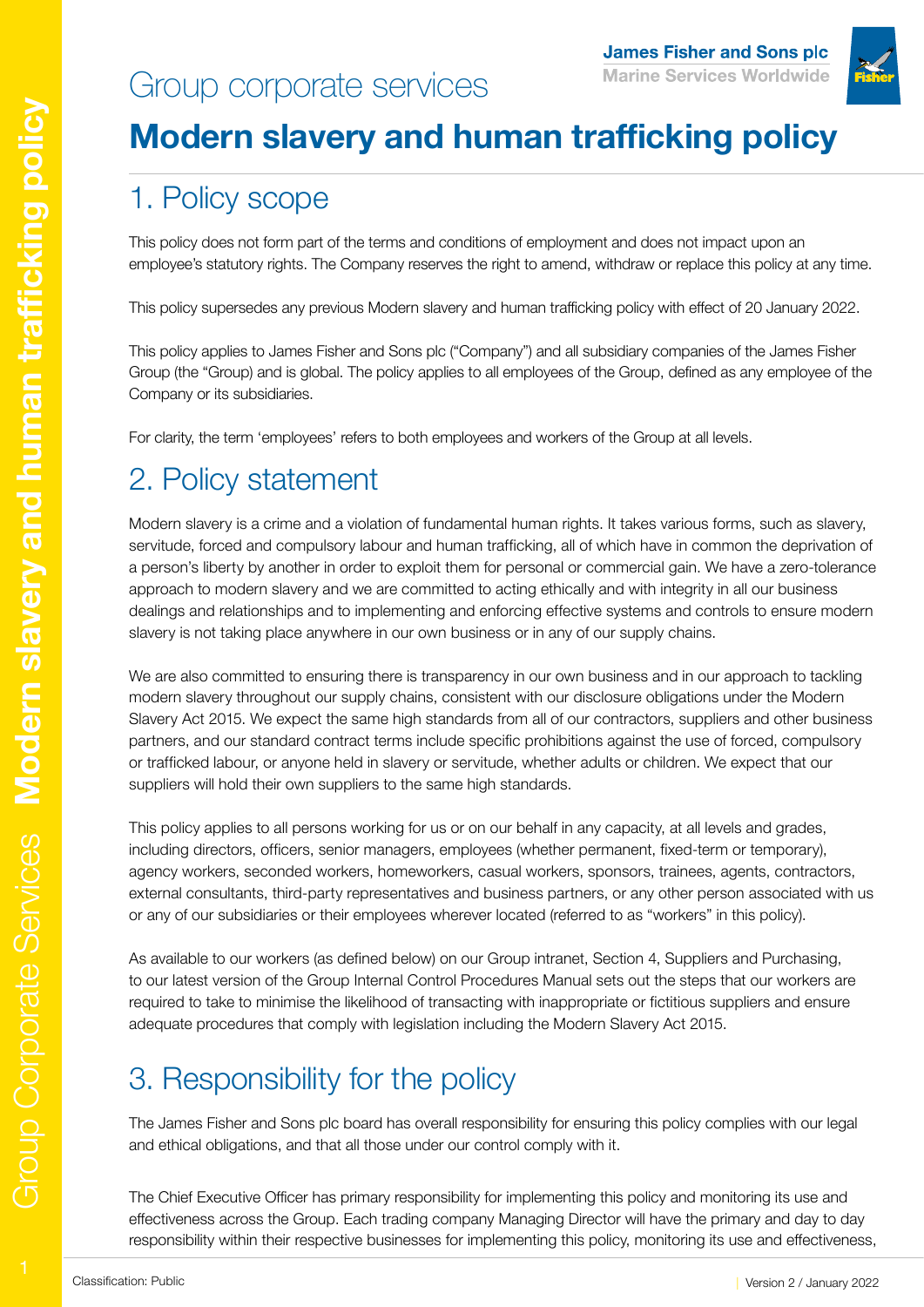## Group corporate services



## **Modern slavery and human trafficking policy**

#### 1. Policy scope

This policy does not form part of the terms and conditions of employment and does not impact upon an employee's statutory rights. The Company reserves the right to amend, withdraw or replace this policy at any time.

This policy supersedes any previous Modern slavery and human trafficking policy with effect of 20 January 2022.

This policy applies to James Fisher and Sons plc ("Company") and all subsidiary companies of the James Fisher Group (the "Group) and is global. The policy applies to all employees of the Group, defined as any employee of the Company or its subsidiaries.

For clarity, the term 'employees' refers to both employees and workers of the Group at all levels.

#### 2. Policy statement

Modern slavery is a crime and a violation of fundamental human rights. It takes various forms, such as slavery, servitude, forced and compulsory labour and human trafficking, all of which have in common the deprivation of a person's liberty by another in order to exploit them for personal or commercial gain. We have a zero-tolerance approach to modern slavery and we are committed to acting ethically and with integrity in all our business dealings and relationships and to implementing and enforcing effective systems and controls to ensure modern slavery is not taking place anywhere in our own business or in any of our supply chains.

We are also committed to ensuring there is transparency in our own business and in our approach to tackling modern slavery throughout our supply chains, consistent with our disclosure obligations under the Modern Slavery Act 2015. We expect the same high standards from all of our contractors, suppliers and other business partners, and our standard contract terms include specific prohibitions against the use of forced, compulsory or trafficked labour, or anyone held in slavery or servitude, whether adults or children. We expect that our suppliers will hold their own suppliers to the same high standards.

This policy applies to all persons working for us or on our behalf in any capacity, at all levels and grades, including directors, officers, senior managers, employees (whether permanent, fixed-term or temporary), agency workers, seconded workers, homeworkers, casual workers, sponsors, trainees, agents, contractors, external consultants, third-party representatives and business partners, or any other person associated with us or any of our subsidiaries or their employees wherever located (referred to as "workers" in this policy).

As available to our workers (as defined below) on our Group intranet, Section 4, Suppliers and Purchasing, to our latest version of the Group Internal Control Procedures Manual sets out the steps that our workers are required to take to minimise the likelihood of transacting with inappropriate or fictitious suppliers and ensure adequate procedures that comply with legislation including the Modern Slavery Act 2015.

## 3. Responsibility for the policy

The James Fisher and Sons plc board has overall responsibility for ensuring this policy complies with our legal and ethical obligations, and that all those under our control comply with it.

The Chief Executive Officer has primary responsibility for implementing this policy and monitoring its use and effectiveness across the Group. Each trading company Managing Director will have the primary and day to day responsibility within their respective businesses for implementing this policy, monitoring its use and effectiveness,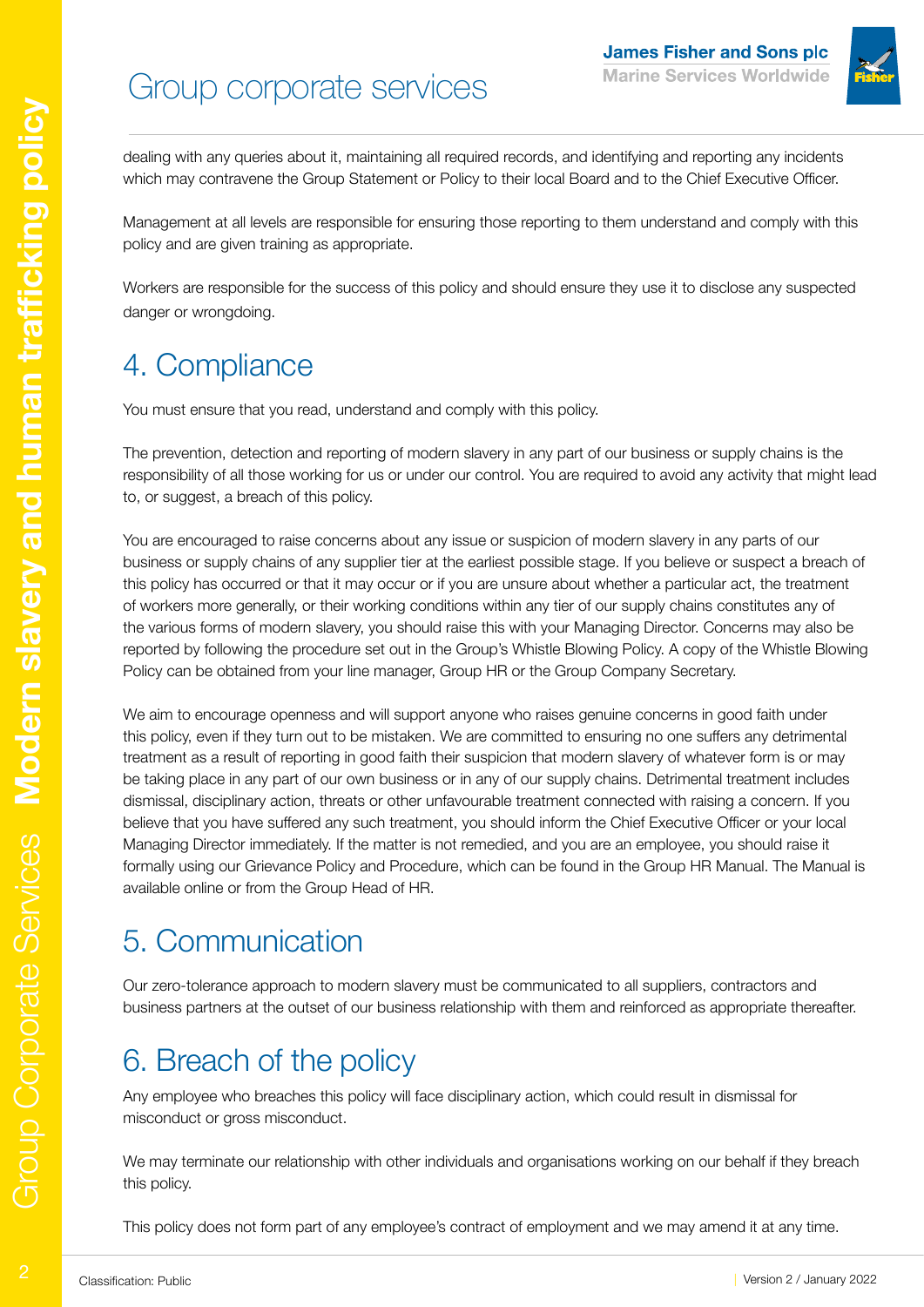# Group corporate services



dealing with any queries about it, maintaining all required records, and identifying and reporting any incidents which may contravene the Group Statement or Policy to their local Board and to the Chief Executive Officer.

Management at all levels are responsible for ensuring those reporting to them understand and comply with this policy and are given training as appropriate.

Workers are responsible for the success of this policy and should ensure they use it to disclose any suspected danger or wrongdoing.

#### 4. Compliance

You must ensure that you read, understand and comply with this policy.

The prevention, detection and reporting of modern slavery in any part of our business or supply chains is the responsibility of all those working for us or under our control. You are required to avoid any activity that might lead to, or suggest, a breach of this policy.

You are encouraged to raise concerns about any issue or suspicion of modern slavery in any parts of our business or supply chains of any supplier tier at the earliest possible stage. If you believe or suspect a breach of this policy has occurred or that it may occur or if you are unsure about whether a particular act, the treatment of workers more generally, or their working conditions within any tier of our supply chains constitutes any of the various forms of modern slavery, you should raise this with your Managing Director. Concerns may also be reported by following the procedure set out in the Group's Whistle Blowing Policy. A copy of the Whistle Blowing Policy can be obtained from your line manager, Group HR or the Group Company Secretary.

We aim to encourage openness and will support anyone who raises genuine concerns in good faith under this policy, even if they turn out to be mistaken. We are committed to ensuring no one suffers any detrimental treatment as a result of reporting in good faith their suspicion that modern slavery of whatever form is or may be taking place in any part of our own business or in any of our supply chains. Detrimental treatment includes dismissal, disciplinary action, threats or other unfavourable treatment connected with raising a concern. If you believe that you have suffered any such treatment, you should inform the Chief Executive Officer or your local Managing Director immediately. If the matter is not remedied, and you are an employee, you should raise it formally using our Grievance Policy and Procedure, which can be found in the Group HR Manual. The Manual is available online or from the Group Head of HR.

#### 5. Communication

Our zero-tolerance approach to modern slavery must be communicated to all suppliers, contractors and business partners at the outset of our business relationship with them and reinforced as appropriate thereafter.

#### 6. Breach of the policy

Any employee who breaches this policy will face disciplinary action, which could result in dismissal for misconduct or gross misconduct.

We may terminate our relationship with other individuals and organisations working on our behalf if they breach this policy.

This policy does not form part of any employee's contract of employment and we may amend it at any time.